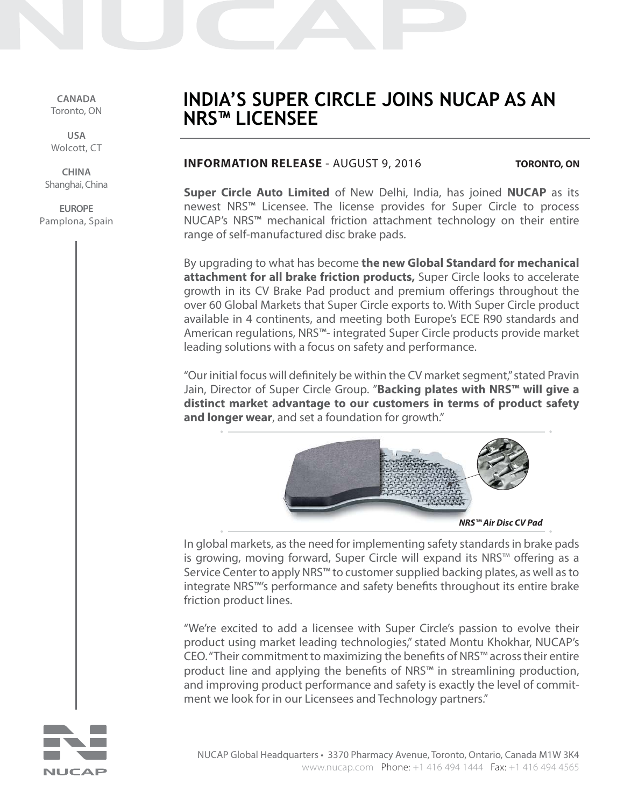**CANADA** Toronto, ON

**USA** Wolcott, CT

**CHINA** Shanghai, China

**EUROPE** Pamplona, Spain

# **INDIA'S SUPER CIRCLE JOINS NUCAP AS AN NRS™ LICENSEE**

# **INFORMATION RELEASE** - AUGUST 9, 2016

**TORONTO, ON**

**Super Circle Auto Limited** of New Delhi, India, has joined **NUCAP** as its newest NRS™ Licensee. The license provides for Super Circle to process NUCAP's NRS™ mechanical friction attachment technology on their entire range of self-manufactured disc brake pads.

By upgrading to what has become **the new Global Standard for mechanical attachment for all brake friction products,** Super Circle looks to accelerate growth in its CV Brake Pad product and premium offerings throughout the over 60 Global Markets that Super Circle exports to. With Super Circle product available in 4 continents, and meeting both Europe's ECE R90 standards and American regulations, NRS™- integrated Super Circle products provide market leading solutions with a focus on safety and performance.

"Our initial focus will definitely be within the CV market segment," stated Pravin Jain, Director of Super Circle Group. "**Backing plates with NRS™ will give a distinct market advantage to our customers in terms of product safety and longer wear**, and set a foundation for growth."



**NRS™ Air Disc CV Pad**

In global markets, as the need for implementing safety standards in brake pads is growing, moving forward, Super Circle will expand its NRS™ offering as a Service Center to apply NRS™ to customer supplied backing plates, as well as to integrate NRS™'s performance and safety benefits throughout its entire brake friction product lines.

"We're excited to add a licensee with Super Circle's passion to evolve their product using market leading technologies," stated Montu Khokhar, NUCAP's CEO. "Their commitment to maximizing the benefits of NRS™ across their entire product line and applying the benefits of NRS™ in streamlining production, and improving product performance and safety is exactly the level of commitment we look for in our Licensees and Technology partners."

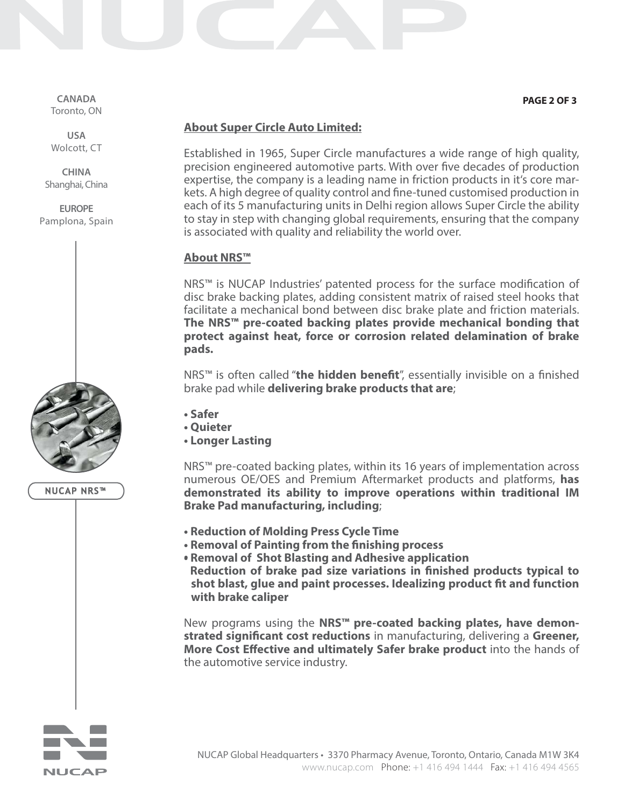**CANADA** Toronto, ON

**USA** Wolcott, CT

**CHINA** Shanghai, China

**EUROPE** Pamplona, Spain



```
NUCAP NRS™
```
#### **PAGE 2 OF 3**

# **About Super Circle Auto Limited:**

Established in 1965, Super Circle manufactures a wide range of high quality, precision engineered automotive parts. With over five decades of production expertise, the company is a leading name in friction products in it's core markets. A high degree of quality control and fine-tuned customised production in each of its 5 manufacturing units in Delhi region allows Super Circle the ability to stay in step with changing global requirements, ensuring that the company is associated with quality and reliability the world over.

## **About NRS™**

NRS™ is NUCAP Industries' patented process for the surface modification of disc brake backing plates, adding consistent matrix of raised steel hooks that facilitate a mechanical bond between disc brake plate and friction materials. **The NRS™ pre-coated backing plates provide mechanical bonding that protect against heat, force or corrosion related delamination of brake pads.**

NRS™ is often called "**the hidden benefit**", essentially invisible on a finished brake pad while **delivering brake products that are**;

- **Safer**
- **Quieter**
- **Longer Lasting**

NRS™ pre-coated backing plates, within its 16 years of implementation across numerous OE/OES and Premium Aftermarket products and platforms, **has demonstrated its ability to improve operations within traditional IM Brake Pad manufacturing, including**;

- **Reduction of Molding Press Cycle Time**
- **Removal of Painting from the finishing process**
- **Removal of Shot Blasting and Adhesive application • Reduction of brake pad size variations in finished products typical to shot blast, glue and paint processes. Idealizing product fit and function with brake caliper**

New programs using the **NRS™ pre-coated backing plates, have demonstrated significant cost reductions** in manufacturing, delivering a **Greener, More Cost Effective and ultimately Safer brake product** into the hands of the automotive service industry.